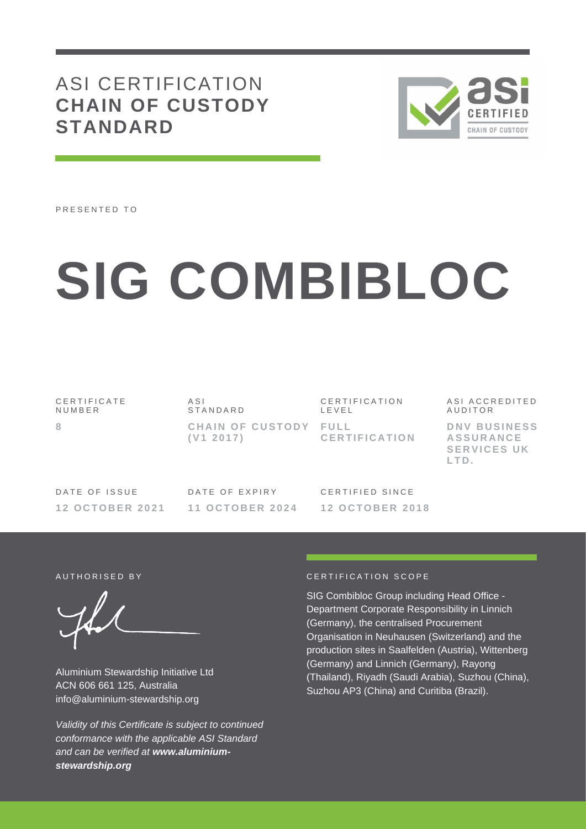# ASI CERTIFICATION **CHAIN OF CUSTODY STANDARD**



PRESENTED TO

# **SIG COMBIBLOC**

CERTIFICATE N U M B E R **8**

A S I S T A N D A R D **CHAIN OF CUSTODY FULL ( V1 2 0 1 7 )**

C E R T I F I C A T I O N L E V E L **C E R T I F I C A T I O N** A S I A C C R E D I T E D **AUDITOR D N V B U S I N E S S** 

**A S S U R A N C E SERVICES UK L T D .**

DATE OF ISSUE **1 2 O C T O B E R 2 0 2 1** DATE OF EXPIRY **1 1 O C T O B E R 2 0 2 4**

CERTIFIED SINCE **1 2 O C T O B E R 2 0 1 8**

Aluminium Stewardship Initiative Ltd ACN 606 661 125, Australia info@aluminium-stewardship.org

*Validity of this Certificate is subject to continued conformance with the applicable ASI Standard and can be verified at www.aluminiumstewardship.org*

#### A UTHORISED BY CERTIFICATION SCOPE

SIG Combibloc Group including Head Office - Department Corporate Responsibility in Linnich (Germany), the centralised Procurement Organisation in Neuhausen (Switzerland) and the production sites in Saalfelden (Austria), Wittenberg (Germany) and Linnich (Germany), Rayong (Thailand), Riyadh (Saudi Arabia), Suzhou (China), Suzhou AP3 (China) and Curitiba (Brazil).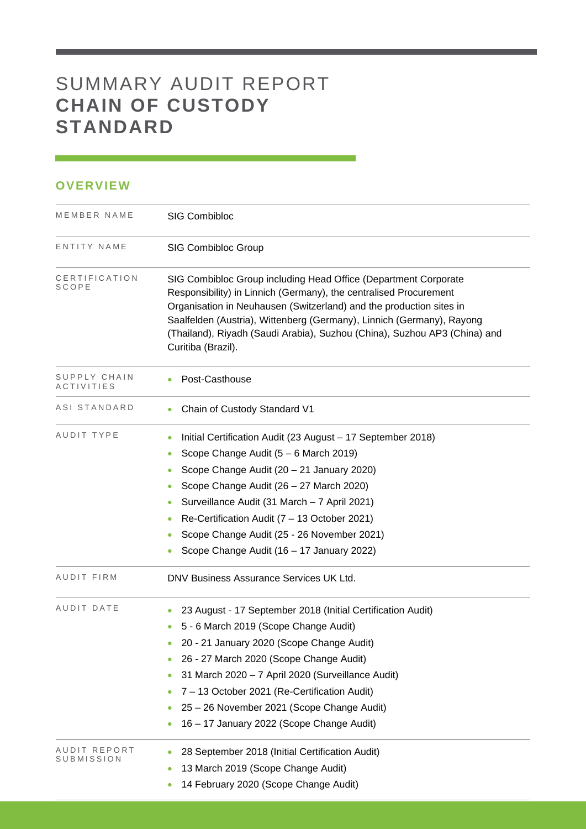## SUMMARY AUDIT REPORT **CHAIN OF CUSTODY STANDARD**

### **OVERVIEW**

| MEMBER NAME                | <b>SIG Combibloc</b>                                                                                                                                                                                                                                                                                                                                                                                                                          |  |  |  |  |
|----------------------------|-----------------------------------------------------------------------------------------------------------------------------------------------------------------------------------------------------------------------------------------------------------------------------------------------------------------------------------------------------------------------------------------------------------------------------------------------|--|--|--|--|
| ENTITY NAME                | <b>SIG Combibloc Group</b>                                                                                                                                                                                                                                                                                                                                                                                                                    |  |  |  |  |
| CERTIFICATION<br>SCOPE     | SIG Combibloc Group including Head Office (Department Corporate<br>Responsibility) in Linnich (Germany), the centralised Procurement<br>Organisation in Neuhausen (Switzerland) and the production sites in<br>Saalfelden (Austria), Wittenberg (Germany), Linnich (Germany), Rayong<br>(Thailand), Riyadh (Saudi Arabia), Suzhou (China), Suzhou AP3 (China) and<br>Curitiba (Brazil).                                                       |  |  |  |  |
| SUPPLY CHAIN<br>ACTIVITIES | Post-Casthouse<br>٠                                                                                                                                                                                                                                                                                                                                                                                                                           |  |  |  |  |
| ASI STANDARD               | Chain of Custody Standard V1<br>$\bullet$                                                                                                                                                                                                                                                                                                                                                                                                     |  |  |  |  |
| AUDIT TYPE                 | Initial Certification Audit (23 August - 17 September 2018)<br>۰<br>Scope Change Audit (5 - 6 March 2019)<br>$\bullet$<br>Scope Change Audit (20 - 21 January 2020)<br>Scope Change Audit (26 - 27 March 2020)<br>۰<br>Surveillance Audit (31 March - 7 April 2021)<br>$\bullet$<br>Re-Certification Audit (7 - 13 October 2021)<br>$\bullet$<br>Scope Change Audit (25 - 26 November 2021)<br>0<br>Scope Change Audit (16 - 17 January 2022) |  |  |  |  |
| AUDIT FIRM                 | DNV Business Assurance Services UK Ltd.                                                                                                                                                                                                                                                                                                                                                                                                       |  |  |  |  |
| AUDIT DATE                 | 23 August - 17 September 2018 (Initial Certification Audit)<br>5 - 6 March 2019 (Scope Change Audit)<br>20 - 21 January 2020 (Scope Change Audit)<br>26 - 27 March 2020 (Scope Change Audit)<br>31 March 2020 - 7 April 2020 (Surveillance Audit)<br>۰<br>7 - 13 October 2021 (Re-Certification Audit)<br>25 - 26 November 2021 (Scope Change Audit)<br>16 - 17 January 2022 (Scope Change Audit)                                             |  |  |  |  |
| AUDIT REPORT<br>SUBMISSION | 28 September 2018 (Initial Certification Audit)<br>13 March 2019 (Scope Change Audit)<br>14 February 2020 (Scope Change Audit)                                                                                                                                                                                                                                                                                                                |  |  |  |  |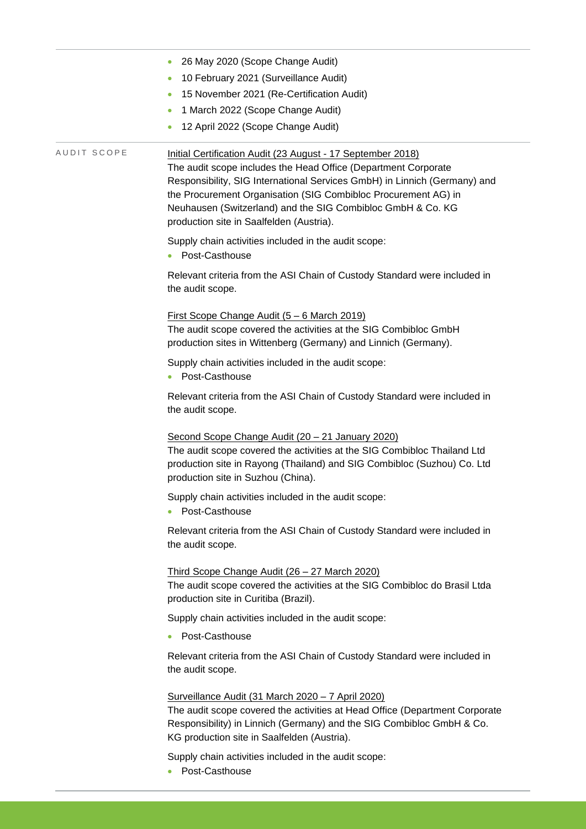|             | 26 May 2020 (Scope Change Audit)                                                                                                                                                                                                                                                                                                                                                        |
|-------------|-----------------------------------------------------------------------------------------------------------------------------------------------------------------------------------------------------------------------------------------------------------------------------------------------------------------------------------------------------------------------------------------|
|             | 10 February 2021 (Surveillance Audit)<br>$\bullet$                                                                                                                                                                                                                                                                                                                                      |
|             | 15 November 2021 (Re-Certification Audit)<br>$\bullet$                                                                                                                                                                                                                                                                                                                                  |
|             | 1 March 2022 (Scope Change Audit)<br>$\bullet$                                                                                                                                                                                                                                                                                                                                          |
|             | 12 April 2022 (Scope Change Audit)<br>$\bullet$                                                                                                                                                                                                                                                                                                                                         |
| AUDIT SCOPE | Initial Certification Audit (23 August - 17 September 2018)<br>The audit scope includes the Head Office (Department Corporate<br>Responsibility, SIG International Services GmbH) in Linnich (Germany) and<br>the Procurement Organisation (SIG Combibloc Procurement AG) in<br>Neuhausen (Switzerland) and the SIG Combibloc GmbH & Co. KG<br>production site in Saalfelden (Austria). |
|             | Supply chain activities included in the audit scope:<br>Post-Casthouse<br>۰                                                                                                                                                                                                                                                                                                             |
|             | Relevant criteria from the ASI Chain of Custody Standard were included in<br>the audit scope.                                                                                                                                                                                                                                                                                           |
|             | <u>First Scope Change Audit (5 – 6 March 2019)</u><br>The audit scope covered the activities at the SIG Combibloc GmbH<br>production sites in Wittenberg (Germany) and Linnich (Germany).                                                                                                                                                                                               |
|             | Supply chain activities included in the audit scope:<br>Post-Casthouse                                                                                                                                                                                                                                                                                                                  |
|             | Relevant criteria from the ASI Chain of Custody Standard were included in<br>the audit scope.                                                                                                                                                                                                                                                                                           |
|             | Second Scope Change Audit (20 - 21 January 2020)<br>The audit scope covered the activities at the SIG Combibloc Thailand Ltd<br>production site in Rayong (Thailand) and SIG Combibloc (Suzhou) Co. Ltd<br>production site in Suzhou (China).                                                                                                                                           |
|             | Supply chain activities included in the audit scope:<br>Post-Casthouse                                                                                                                                                                                                                                                                                                                  |
|             | Relevant criteria from the ASI Chain of Custody Standard were included in<br>the audit scope.                                                                                                                                                                                                                                                                                           |
|             | Third Scope Change Audit (26 - 27 March 2020)<br>The audit scope covered the activities at the SIG Combibloc do Brasil Ltda<br>production site in Curitiba (Brazil).                                                                                                                                                                                                                    |
|             | Supply chain activities included in the audit scope:                                                                                                                                                                                                                                                                                                                                    |
|             | Post-Casthouse                                                                                                                                                                                                                                                                                                                                                                          |
|             | Relevant criteria from the ASI Chain of Custody Standard were included in<br>the audit scope.                                                                                                                                                                                                                                                                                           |
|             | Surveillance Audit (31 March 2020 - 7 April 2020)<br>The audit scope covered the activities at Head Office (Department Corporate<br>Responsibility) in Linnich (Germany) and the SIG Combibloc GmbH & Co.<br>KG production site in Saalfelden (Austria).                                                                                                                                |
|             | Supply chain activities included in the audit scope:<br>Post-Casthouse                                                                                                                                                                                                                                                                                                                  |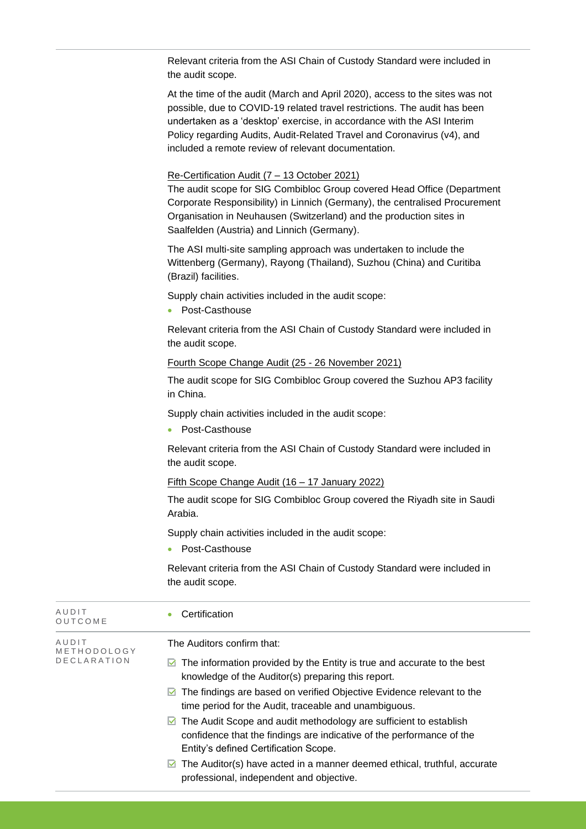| Relevant criteria from the ASI Chain of Custody Standard were included in |  |
|---------------------------------------------------------------------------|--|
| the audit scope.                                                          |  |

At the time of the audit (March and April 2020), access to the sites was not possible, due to COVID-19 related travel restrictions. The audit has been undertaken as a 'desktop' exercise, in accordance with the ASI Interim Policy regarding Audits, Audit-Related Travel and Coronavirus (v4), and included a remote review of relevant documentation.

#### Re-Certification Audit (7 – 13 October 2021)

The audit scope for SIG Combibloc Group covered Head Office (Department Corporate Responsibility) in Linnich (Germany), the centralised Procurement Organisation in Neuhausen (Switzerland) and the production sites in Saalfelden (Austria) and Linnich (Germany).

The ASI multi-site sampling approach was undertaken to include the Wittenberg (Germany), Rayong (Thailand), Suzhou (China) and Curitiba (Brazil) facilities.

Supply chain activities included in the audit scope:

• Post-Casthouse

Relevant criteria from the ASI Chain of Custody Standard were included in the audit scope.

#### Fourth Scope Change Audit (25 - 26 November 2021)

The audit scope for SIG Combibloc Group covered the Suzhou AP3 facility in China.

Supply chain activities included in the audit scope:

• Post-Casthouse

Relevant criteria from the ASI Chain of Custody Standard were included in the audit scope.

#### Fifth Scope Change Audit (16 – 17 January 2022)

The audit scope for SIG Combibloc Group covered the Riyadh site in Saudi Arabia.

Supply chain activities included in the audit scope:

• Post-Casthouse

Relevant criteria from the ASI Chain of Custody Standard were included in the audit scope.

| AUDIT<br>OUTCOME     | Certification                                                                                                                                                                                        |
|----------------------|------------------------------------------------------------------------------------------------------------------------------------------------------------------------------------------------------|
| AUDIT<br>METHODOLOGY | The Auditors confirm that:                                                                                                                                                                           |
| <b>DECLARATION</b>   | The information provided by the Entity is true and accurate to the best<br>M<br>knowledge of the Auditor(s) preparing this report.                                                                   |
|                      | $\blacksquare$ The findings are based on verified Objective Evidence relevant to the<br>time period for the Audit, traceable and unambiguous.                                                        |
|                      | $\triangleright$ The Audit Scope and audit methodology are sufficient to establish<br>confidence that the findings are indicative of the performance of the<br>Entity's defined Certification Scope. |
|                      | $\triangleright$ The Auditor(s) have acted in a manner deemed ethical, truthful, accurate<br>professional, independent and objective.                                                                |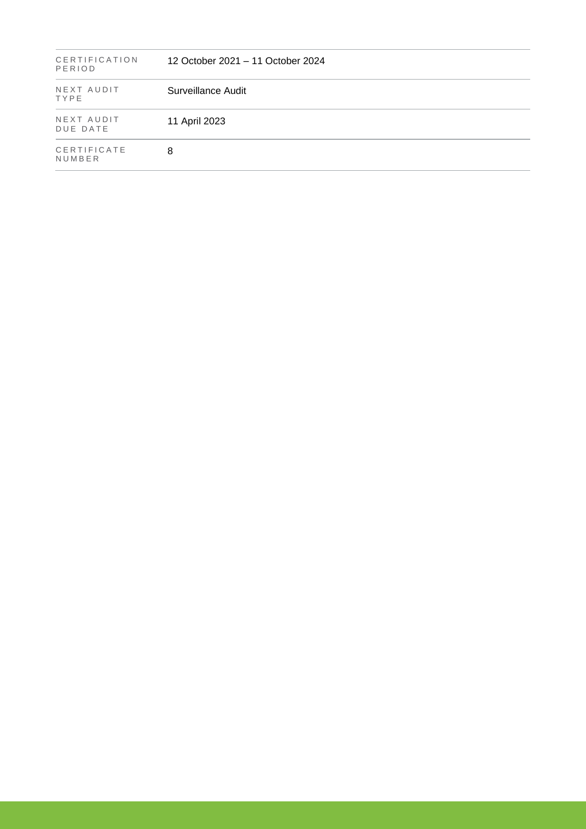| CERTIFICATION<br>PERIOD | 12 October 2021 – 11 October 2024 |  |
|-------------------------|-----------------------------------|--|
| NEXT AUDIT<br>TYPE      | Surveillance Audit                |  |
| NEXT AUDIT<br>DUE DATE  | 11 April 2023                     |  |
| CERTIFICATE<br>NUMBER   | 8                                 |  |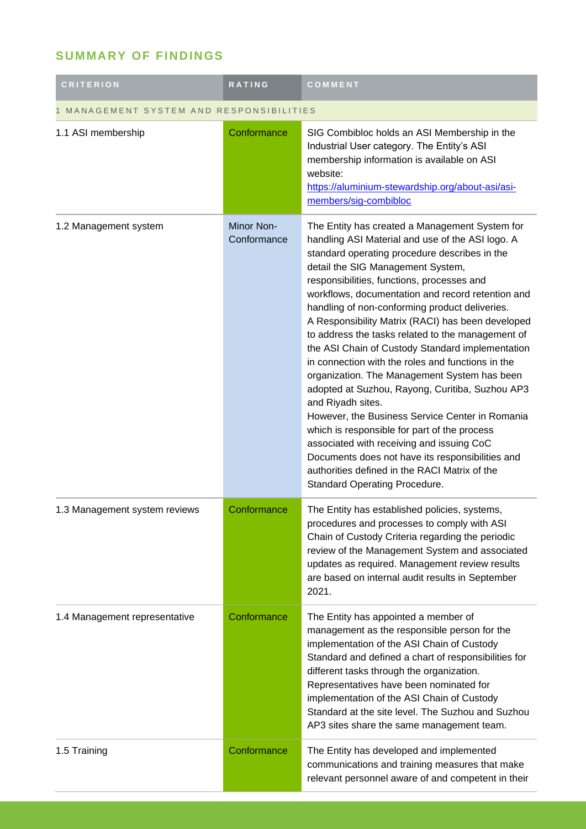## **SUMMARY OF FINDINGS**

| <b>CRITERION</b>                       | <b>RATING</b>             | COMMENT                                                                                                                                                                                                                                                                                                                                                                                                                                                                                                                                                                                                                                                                                                                                                                                                                                                                                                                                                                               |  |
|----------------------------------------|---------------------------|---------------------------------------------------------------------------------------------------------------------------------------------------------------------------------------------------------------------------------------------------------------------------------------------------------------------------------------------------------------------------------------------------------------------------------------------------------------------------------------------------------------------------------------------------------------------------------------------------------------------------------------------------------------------------------------------------------------------------------------------------------------------------------------------------------------------------------------------------------------------------------------------------------------------------------------------------------------------------------------|--|
| MANAGEMENT SYSTEM AND RESPONSIBILITIES |                           |                                                                                                                                                                                                                                                                                                                                                                                                                                                                                                                                                                                                                                                                                                                                                                                                                                                                                                                                                                                       |  |
| 1.1 ASI membership                     | Conformance               | SIG Combibloc holds an ASI Membership in the<br>Industrial User category. The Entity's ASI<br>membership information is available on ASI<br>website:<br>https://aluminium-stewardship.org/about-asi/asi-<br>members/sig-combibloc                                                                                                                                                                                                                                                                                                                                                                                                                                                                                                                                                                                                                                                                                                                                                     |  |
| 1.2 Management system                  | Minor Non-<br>Conformance | The Entity has created a Management System for<br>handling ASI Material and use of the ASI logo. A<br>standard operating procedure describes in the<br>detail the SIG Management System,<br>responsibilities, functions, processes and<br>workflows, documentation and record retention and<br>handling of non-conforming product deliveries.<br>A Responsibility Matrix (RACI) has been developed<br>to address the tasks related to the management of<br>the ASI Chain of Custody Standard implementation<br>in connection with the roles and functions in the<br>organization. The Management System has been<br>adopted at Suzhou, Rayong, Curitiba, Suzhou AP3<br>and Riyadh sites.<br>However, the Business Service Center in Romania<br>which is responsible for part of the process<br>associated with receiving and issuing CoC<br>Documents does not have its responsibilities and<br>authorities defined in the RACI Matrix of the<br><b>Standard Operating Procedure.</b> |  |
| 1.3 Management system reviews          | Conformance               | The Entity has established policies, systems,<br>procedures and processes to comply with ASI<br>Chain of Custody Criteria regarding the periodic<br>review of the Management System and associated<br>updates as required. Management review results<br>are based on internal audit results in September<br>2021.                                                                                                                                                                                                                                                                                                                                                                                                                                                                                                                                                                                                                                                                     |  |
| 1.4 Management representative          | Conformance               | The Entity has appointed a member of<br>management as the responsible person for the<br>implementation of the ASI Chain of Custody<br>Standard and defined a chart of responsibilities for<br>different tasks through the organization.<br>Representatives have been nominated for<br>implementation of the ASI Chain of Custody<br>Standard at the site level. The Suzhou and Suzhou<br>AP3 sites share the same management team.                                                                                                                                                                                                                                                                                                                                                                                                                                                                                                                                                    |  |
| 1.5 Training                           | Conformance               | The Entity has developed and implemented<br>communications and training measures that make<br>relevant personnel aware of and competent in their                                                                                                                                                                                                                                                                                                                                                                                                                                                                                                                                                                                                                                                                                                                                                                                                                                      |  |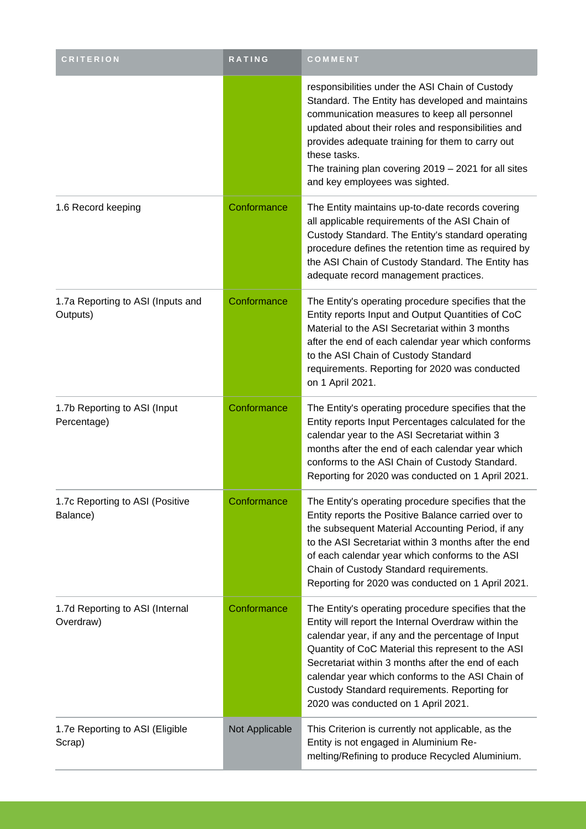| <b>CRITERION</b>                              | RATING         | COMMENT                                                                                                                                                                                                                                                                                                                                                                                                               |
|-----------------------------------------------|----------------|-----------------------------------------------------------------------------------------------------------------------------------------------------------------------------------------------------------------------------------------------------------------------------------------------------------------------------------------------------------------------------------------------------------------------|
|                                               |                | responsibilities under the ASI Chain of Custody<br>Standard. The Entity has developed and maintains<br>communication measures to keep all personnel<br>updated about their roles and responsibilities and<br>provides adequate training for them to carry out<br>these tasks.<br>The training plan covering $2019 - 2021$ for all sites<br>and key employees was sighted.                                             |
| 1.6 Record keeping                            | Conformance    | The Entity maintains up-to-date records covering<br>all applicable requirements of the ASI Chain of<br>Custody Standard. The Entity's standard operating<br>procedure defines the retention time as required by<br>the ASI Chain of Custody Standard. The Entity has<br>adequate record management practices.                                                                                                         |
| 1.7a Reporting to ASI (Inputs and<br>Outputs) | Conformance    | The Entity's operating procedure specifies that the<br>Entity reports Input and Output Quantities of CoC<br>Material to the ASI Secretariat within 3 months<br>after the end of each calendar year which conforms<br>to the ASI Chain of Custody Standard<br>requirements. Reporting for 2020 was conducted<br>on 1 April 2021.                                                                                       |
| 1.7b Reporting to ASI (Input<br>Percentage)   | Conformance    | The Entity's operating procedure specifies that the<br>Entity reports Input Percentages calculated for the<br>calendar year to the ASI Secretariat within 3<br>months after the end of each calendar year which<br>conforms to the ASI Chain of Custody Standard.<br>Reporting for 2020 was conducted on 1 April 2021.                                                                                                |
| 1.7c Reporting to ASI (Positive<br>Balance)   | Conformance    | The Entity's operating procedure specifies that the<br>Entity reports the Positive Balance carried over to<br>the subsequent Material Accounting Period, if any<br>to the ASI Secretariat within 3 months after the end<br>of each calendar year which conforms to the ASI<br>Chain of Custody Standard requirements.<br>Reporting for 2020 was conducted on 1 April 2021.                                            |
| 1.7d Reporting to ASI (Internal<br>Overdraw)  | Conformance    | The Entity's operating procedure specifies that the<br>Entity will report the Internal Overdraw within the<br>calendar year, if any and the percentage of Input<br>Quantity of CoC Material this represent to the ASI<br>Secretariat within 3 months after the end of each<br>calendar year which conforms to the ASI Chain of<br>Custody Standard requirements. Reporting for<br>2020 was conducted on 1 April 2021. |
| 1.7e Reporting to ASI (Eligible<br>Scrap)     | Not Applicable | This Criterion is currently not applicable, as the<br>Entity is not engaged in Aluminium Re-<br>melting/Refining to produce Recycled Aluminium.                                                                                                                                                                                                                                                                       |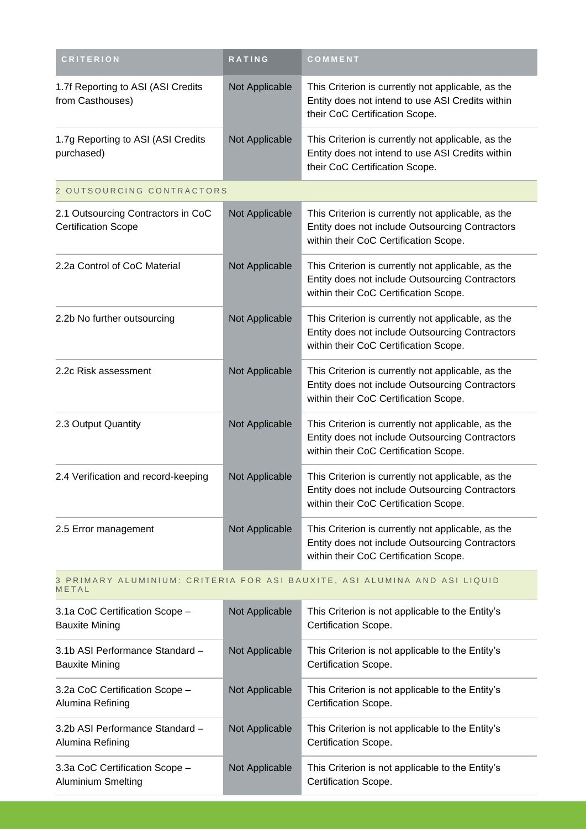| <b>CRITERION</b>                                                                   | RATING         | COMMENT                                                                                                                                        |  |
|------------------------------------------------------------------------------------|----------------|------------------------------------------------------------------------------------------------------------------------------------------------|--|
| 1.7f Reporting to ASI (ASI Credits<br>from Casthouses)                             | Not Applicable | This Criterion is currently not applicable, as the<br>Entity does not intend to use ASI Credits within<br>their CoC Certification Scope.       |  |
| 1.7g Reporting to ASI (ASI Credits<br>purchased)                                   | Not Applicable | This Criterion is currently not applicable, as the<br>Entity does not intend to use ASI Credits within<br>their CoC Certification Scope.       |  |
| 2 OUTSOURCING CONTRACTORS                                                          |                |                                                                                                                                                |  |
| 2.1 Outsourcing Contractors in CoC<br><b>Certification Scope</b>                   | Not Applicable | This Criterion is currently not applicable, as the<br>Entity does not include Outsourcing Contractors<br>within their CoC Certification Scope. |  |
| 2.2a Control of CoC Material                                                       | Not Applicable | This Criterion is currently not applicable, as the<br>Entity does not include Outsourcing Contractors<br>within their CoC Certification Scope. |  |
| 2.2b No further outsourcing                                                        | Not Applicable | This Criterion is currently not applicable, as the<br>Entity does not include Outsourcing Contractors<br>within their CoC Certification Scope. |  |
| 2.2c Risk assessment                                                               | Not Applicable | This Criterion is currently not applicable, as the<br>Entity does not include Outsourcing Contractors<br>within their CoC Certification Scope. |  |
| 2.3 Output Quantity                                                                | Not Applicable | This Criterion is currently not applicable, as the<br>Entity does not include Outsourcing Contractors<br>within their CoC Certification Scope. |  |
| 2.4 Verification and record-keeping                                                | Not Applicable | This Criterion is currently not applicable, as the<br>Entity does not include Outsourcing Contractors<br>within their CoC Certification Scope. |  |
| 2.5 Error management                                                               | Not Applicable | This Criterion is currently not applicable, as the<br>Entity does not include Outsourcing Contractors<br>within their CoC Certification Scope. |  |
| 3 PRIMARY ALUMINIUM: CRITERIA FOR ASI BAUXITE, ASI ALUMINA AND ASI LIQUID<br>METAL |                |                                                                                                                                                |  |
| 3.1a CoC Certification Scope -<br><b>Bauxite Mining</b>                            | Not Applicable | This Criterion is not applicable to the Entity's<br>Certification Scope.                                                                       |  |
| 3.1b ASI Performance Standard -<br><b>Bauxite Mining</b>                           | Not Applicable | This Criterion is not applicable to the Entity's<br>Certification Scope.                                                                       |  |
| 3.2a CoC Certification Scope -<br>Alumina Refining                                 | Not Applicable | This Criterion is not applicable to the Entity's<br>Certification Scope.                                                                       |  |
| 3.2b ASI Performance Standard -<br>Alumina Refining                                | Not Applicable | This Criterion is not applicable to the Entity's<br>Certification Scope.                                                                       |  |
| 3.3a CoC Certification Scope -<br>Aluminium Smelting                               | Not Applicable | This Criterion is not applicable to the Entity's<br>Certification Scope.                                                                       |  |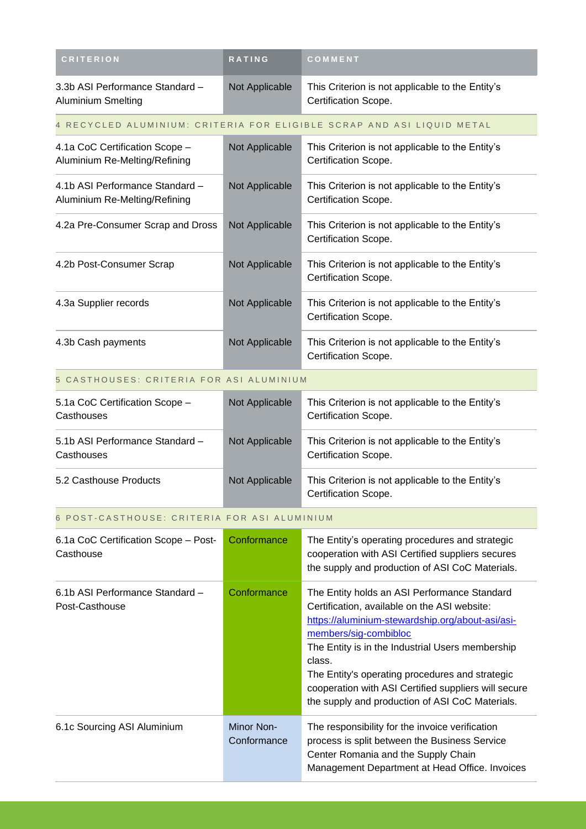| <b>CRITERION</b>                                                       | RATING                    | COMMENT                                                                                                                                                                                                                                                                                                                                                                                               |  |  |
|------------------------------------------------------------------------|---------------------------|-------------------------------------------------------------------------------------------------------------------------------------------------------------------------------------------------------------------------------------------------------------------------------------------------------------------------------------------------------------------------------------------------------|--|--|
| 3.3b ASI Performance Standard-<br>Aluminium Smelting                   | Not Applicable            | This Criterion is not applicable to the Entity's<br>Certification Scope.                                                                                                                                                                                                                                                                                                                              |  |  |
| 4 RECYCLED ALUMINIUM: CRITERIA FOR ELIGIBLE SCRAP AND ASI LIQUID METAL |                           |                                                                                                                                                                                                                                                                                                                                                                                                       |  |  |
| 4.1a CoC Certification Scope -<br>Aluminium Re-Melting/Refining        | Not Applicable            | This Criterion is not applicable to the Entity's<br>Certification Scope.                                                                                                                                                                                                                                                                                                                              |  |  |
| 4.1b ASI Performance Standard -<br>Aluminium Re-Melting/Refining       | Not Applicable            | This Criterion is not applicable to the Entity's<br>Certification Scope.                                                                                                                                                                                                                                                                                                                              |  |  |
| 4.2a Pre-Consumer Scrap and Dross                                      | Not Applicable            | This Criterion is not applicable to the Entity's<br>Certification Scope.                                                                                                                                                                                                                                                                                                                              |  |  |
| 4.2b Post-Consumer Scrap                                               | Not Applicable            | This Criterion is not applicable to the Entity's<br>Certification Scope.                                                                                                                                                                                                                                                                                                                              |  |  |
| 4.3a Supplier records                                                  | Not Applicable            | This Criterion is not applicable to the Entity's<br>Certification Scope.                                                                                                                                                                                                                                                                                                                              |  |  |
| 4.3b Cash payments                                                     | Not Applicable            | This Criterion is not applicable to the Entity's<br>Certification Scope.                                                                                                                                                                                                                                                                                                                              |  |  |
| 5 CASTHOUSES: CRITERIA FOR ASI ALUMINIUM                               |                           |                                                                                                                                                                                                                                                                                                                                                                                                       |  |  |
| 5.1a CoC Certification Scope -<br>Casthouses                           | Not Applicable            | This Criterion is not applicable to the Entity's<br>Certification Scope.                                                                                                                                                                                                                                                                                                                              |  |  |
| 5.1b ASI Performance Standard -<br>Casthouses                          | Not Applicable            | This Criterion is not applicable to the Entity's<br>Certification Scope.                                                                                                                                                                                                                                                                                                                              |  |  |
| 5.2 Casthouse Products                                                 | Not Applicable            | This Criterion is not applicable to the Entity's<br>Certification Scope.                                                                                                                                                                                                                                                                                                                              |  |  |
| 6 POST-CASTHOUSE: CRITERIA FOR ASI ALUMINIUM                           |                           |                                                                                                                                                                                                                                                                                                                                                                                                       |  |  |
| 6.1a CoC Certification Scope - Post-<br>Casthouse                      | Conformance               | The Entity's operating procedures and strategic<br>cooperation with ASI Certified suppliers secures<br>the supply and production of ASI CoC Materials.                                                                                                                                                                                                                                                |  |  |
| 6.1b ASI Performance Standard -<br>Post-Casthouse                      | Conformance               | The Entity holds an ASI Performance Standard<br>Certification, available on the ASI website:<br>https://aluminium-stewardship.org/about-asi/asi-<br>members/sig-combibloc<br>The Entity is in the Industrial Users membership<br>class.<br>The Entity's operating procedures and strategic<br>cooperation with ASI Certified suppliers will secure<br>the supply and production of ASI CoC Materials. |  |  |
| 6.1c Sourcing ASI Aluminium                                            | Minor Non-<br>Conformance | The responsibility for the invoice verification<br>process is split between the Business Service<br>Center Romania and the Supply Chain<br>Management Department at Head Office. Invoices                                                                                                                                                                                                             |  |  |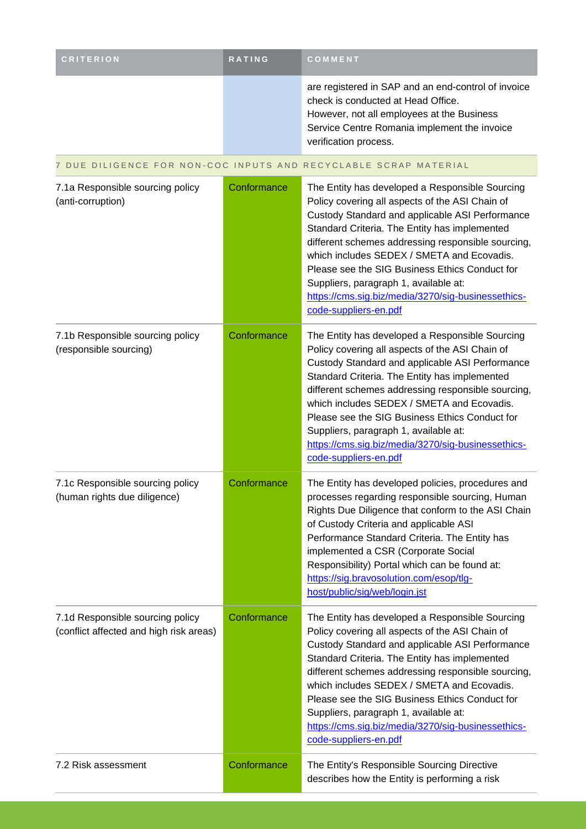| <b>CRITERION</b>                                                            | RATING      | COMMENT                                                                                                                                                                                                                                                                                                                                                                                                                                                                              |
|-----------------------------------------------------------------------------|-------------|--------------------------------------------------------------------------------------------------------------------------------------------------------------------------------------------------------------------------------------------------------------------------------------------------------------------------------------------------------------------------------------------------------------------------------------------------------------------------------------|
|                                                                             |             | are registered in SAP and an end-control of invoice<br>check is conducted at Head Office.<br>However, not all employees at the Business<br>Service Centre Romania implement the invoice<br>verification process.                                                                                                                                                                                                                                                                     |
|                                                                             |             | 7 DUE DILIGENCE FOR NON-COC INPUTS AND RECYCLABLE SCRAP MATERIAL                                                                                                                                                                                                                                                                                                                                                                                                                     |
| 7.1a Responsible sourcing policy<br>(anti-corruption)                       | Conformance | The Entity has developed a Responsible Sourcing<br>Policy covering all aspects of the ASI Chain of<br>Custody Standard and applicable ASI Performance<br>Standard Criteria. The Entity has implemented<br>different schemes addressing responsible sourcing,<br>which includes SEDEX / SMETA and Ecovadis.<br>Please see the SIG Business Ethics Conduct for<br>Suppliers, paragraph 1, available at:<br>https://cms.sig.biz/media/3270/sig-businessethics-<br>code-suppliers-en.pdf |
| 7.1b Responsible sourcing policy<br>(responsible sourcing)                  | Conformance | The Entity has developed a Responsible Sourcing<br>Policy covering all aspects of the ASI Chain of<br>Custody Standard and applicable ASI Performance<br>Standard Criteria. The Entity has implemented<br>different schemes addressing responsible sourcing,<br>which includes SEDEX / SMETA and Ecovadis.<br>Please see the SIG Business Ethics Conduct for<br>Suppliers, paragraph 1, available at:<br>https://cms.sig.biz/media/3270/sig-businessethics-<br>code-suppliers-en.pdf |
| 7.1c Responsible sourcing policy<br>(human rights due diligence)            | Conformance | The Entity has developed policies, procedures and<br>processes regarding responsible sourcing, Human<br>Rights Due Diligence that conform to the ASI Chain<br>of Custody Criteria and applicable ASI<br>Performance Standard Criteria. The Entity has<br>implemented a CSR (Corporate Social<br>Responsibility) Portal which can be found at:<br>https://sig.bravosolution.com/esop/tlg-<br>host/public/sig/web/login.jst                                                            |
| 7.1d Responsible sourcing policy<br>(conflict affected and high risk areas) | Conformance | The Entity has developed a Responsible Sourcing<br>Policy covering all aspects of the ASI Chain of<br>Custody Standard and applicable ASI Performance<br>Standard Criteria. The Entity has implemented<br>different schemes addressing responsible sourcing,<br>which includes SEDEX / SMETA and Ecovadis.<br>Please see the SIG Business Ethics Conduct for<br>Suppliers, paragraph 1, available at:<br>https://cms.sig.biz/media/3270/sig-businessethics-<br>code-suppliers-en.pdf |
| 7.2 Risk assessment                                                         | Conformance | The Entity's Responsible Sourcing Directive<br>describes how the Entity is performing a risk                                                                                                                                                                                                                                                                                                                                                                                         |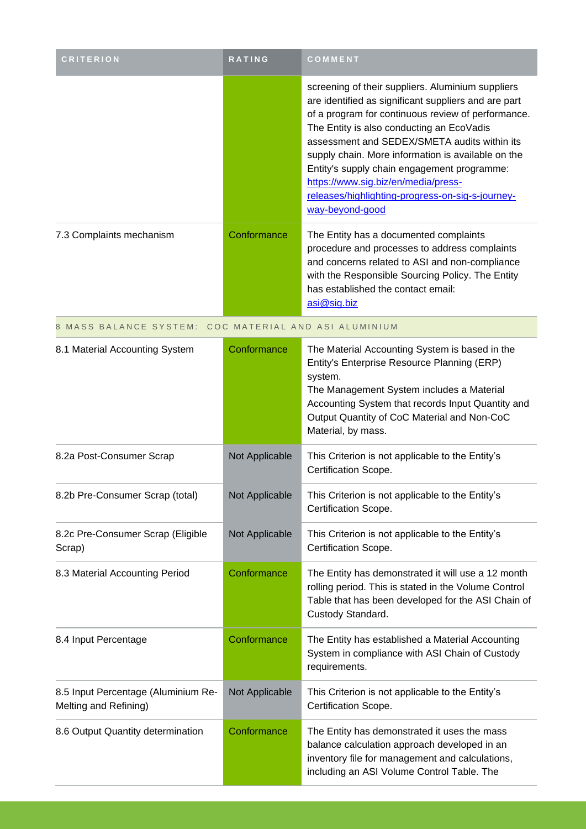| <b>CRITERION</b>                                             | <b>RATING</b>  | COMMENT                                                                                                                                                                                                                                                                                                                                                                                                                                                                         |
|--------------------------------------------------------------|----------------|---------------------------------------------------------------------------------------------------------------------------------------------------------------------------------------------------------------------------------------------------------------------------------------------------------------------------------------------------------------------------------------------------------------------------------------------------------------------------------|
|                                                              |                | screening of their suppliers. Aluminium suppliers<br>are identified as significant suppliers and are part<br>of a program for continuous review of performance.<br>The Entity is also conducting an EcoVadis<br>assessment and SEDEX/SMETA audits within its<br>supply chain. More information is available on the<br>Entity's supply chain engagement programme:<br>https://www.sig.biz/en/media/press-<br>releases/highlighting-progress-on-sig-s-journey-<br>way-beyond-good |
| 7.3 Complaints mechanism                                     | Conformance    | The Entity has a documented complaints<br>procedure and processes to address complaints<br>and concerns related to ASI and non-compliance<br>with the Responsible Sourcing Policy. The Entity<br>has established the contact email:<br>asi@sig.biz                                                                                                                                                                                                                              |
| 8 MASS BALANCE SYSTEM: COC MATERIAL AND ASI ALUMINIUM        |                |                                                                                                                                                                                                                                                                                                                                                                                                                                                                                 |
| 8.1 Material Accounting System                               | Conformance    | The Material Accounting System is based in the<br>Entity's Enterprise Resource Planning (ERP)<br>system.<br>The Management System includes a Material<br>Accounting System that records Input Quantity and<br>Output Quantity of CoC Material and Non-CoC<br>Material, by mass.                                                                                                                                                                                                 |
| 8.2a Post-Consumer Scrap                                     | Not Applicable | This Criterion is not applicable to the Entity's<br>Certification Scope.                                                                                                                                                                                                                                                                                                                                                                                                        |
| 8.2b Pre-Consumer Scrap (total)                              | Not Applicable | This Criterion is not applicable to the Entity's<br>Certification Scope.                                                                                                                                                                                                                                                                                                                                                                                                        |
| 8.2c Pre-Consumer Scrap (Eligible<br>Scrap)                  | Not Applicable | This Criterion is not applicable to the Entity's<br>Certification Scope.                                                                                                                                                                                                                                                                                                                                                                                                        |
| 8.3 Material Accounting Period                               | Conformance    | The Entity has demonstrated it will use a 12 month<br>rolling period. This is stated in the Volume Control<br>Table that has been developed for the ASI Chain of<br>Custody Standard.                                                                                                                                                                                                                                                                                           |
| 8.4 Input Percentage                                         | Conformance    | The Entity has established a Material Accounting<br>System in compliance with ASI Chain of Custody<br>requirements.                                                                                                                                                                                                                                                                                                                                                             |
| 8.5 Input Percentage (Aluminium Re-<br>Melting and Refining) | Not Applicable | This Criterion is not applicable to the Entity's<br>Certification Scope.                                                                                                                                                                                                                                                                                                                                                                                                        |
| 8.6 Output Quantity determination                            | Conformance    | The Entity has demonstrated it uses the mass<br>balance calculation approach developed in an<br>inventory file for management and calculations,<br>including an ASI Volume Control Table. The                                                                                                                                                                                                                                                                                   |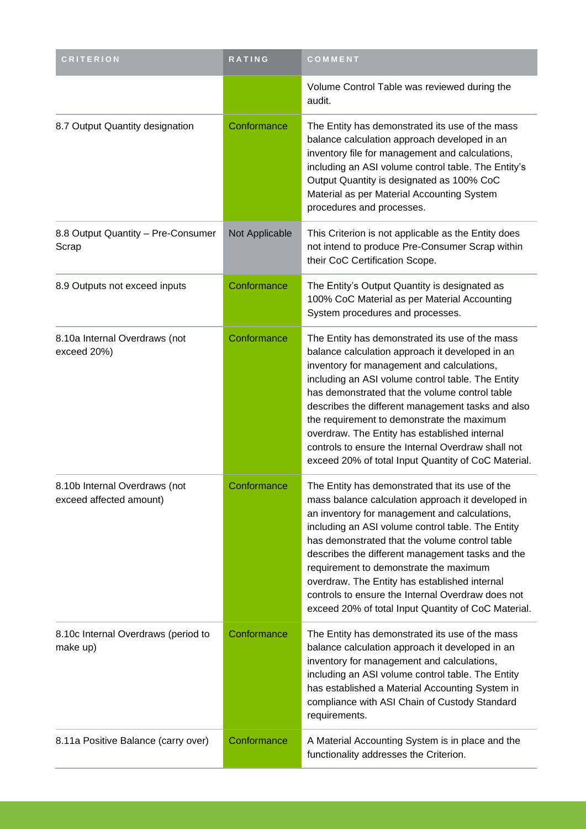| <b>CRITERION</b>                                         | RATING         | COMMENT                                                                                                                                                                                                                                                                                                                                                                                                                                                                                                                  |
|----------------------------------------------------------|----------------|--------------------------------------------------------------------------------------------------------------------------------------------------------------------------------------------------------------------------------------------------------------------------------------------------------------------------------------------------------------------------------------------------------------------------------------------------------------------------------------------------------------------------|
|                                                          |                | Volume Control Table was reviewed during the<br>audit.                                                                                                                                                                                                                                                                                                                                                                                                                                                                   |
| 8.7 Output Quantity designation                          | Conformance    | The Entity has demonstrated its use of the mass<br>balance calculation approach developed in an<br>inventory file for management and calculations,<br>including an ASI volume control table. The Entity's<br>Output Quantity is designated as 100% CoC<br>Material as per Material Accounting System<br>procedures and processes.                                                                                                                                                                                        |
| 8.8 Output Quantity - Pre-Consumer<br>Scrap              | Not Applicable | This Criterion is not applicable as the Entity does<br>not intend to produce Pre-Consumer Scrap within<br>their CoC Certification Scope.                                                                                                                                                                                                                                                                                                                                                                                 |
| 8.9 Outputs not exceed inputs                            | Conformance    | The Entity's Output Quantity is designated as<br>100% CoC Material as per Material Accounting<br>System procedures and processes.                                                                                                                                                                                                                                                                                                                                                                                        |
| 8.10a Internal Overdraws (not<br>exceed 20%)             | Conformance    | The Entity has demonstrated its use of the mass<br>balance calculation approach it developed in an<br>inventory for management and calculations,<br>including an ASI volume control table. The Entity<br>has demonstrated that the volume control table<br>describes the different management tasks and also<br>the requirement to demonstrate the maximum<br>overdraw. The Entity has established internal<br>controls to ensure the Internal Overdraw shall not<br>exceed 20% of total Input Quantity of CoC Material. |
| 8.10b Internal Overdraws (not<br>exceed affected amount) | Conformance    | The Entity has demonstrated that its use of the<br>mass balance calculation approach it developed in<br>an inventory for management and calculations,<br>including an ASI volume control table. The Entity<br>has demonstrated that the volume control table<br>describes the different management tasks and the<br>requirement to demonstrate the maximum<br>overdraw. The Entity has established internal<br>controls to ensure the Internal Overdraw does not<br>exceed 20% of total Input Quantity of CoC Material.  |
| 8.10c Internal Overdraws (period to<br>make up)          | Conformance    | The Entity has demonstrated its use of the mass<br>balance calculation approach it developed in an<br>inventory for management and calculations,<br>including an ASI volume control table. The Entity<br>has established a Material Accounting System in<br>compliance with ASI Chain of Custody Standard<br>requirements.                                                                                                                                                                                               |
| 8.11a Positive Balance (carry over)                      | Conformance    | A Material Accounting System is in place and the<br>functionality addresses the Criterion.                                                                                                                                                                                                                                                                                                                                                                                                                               |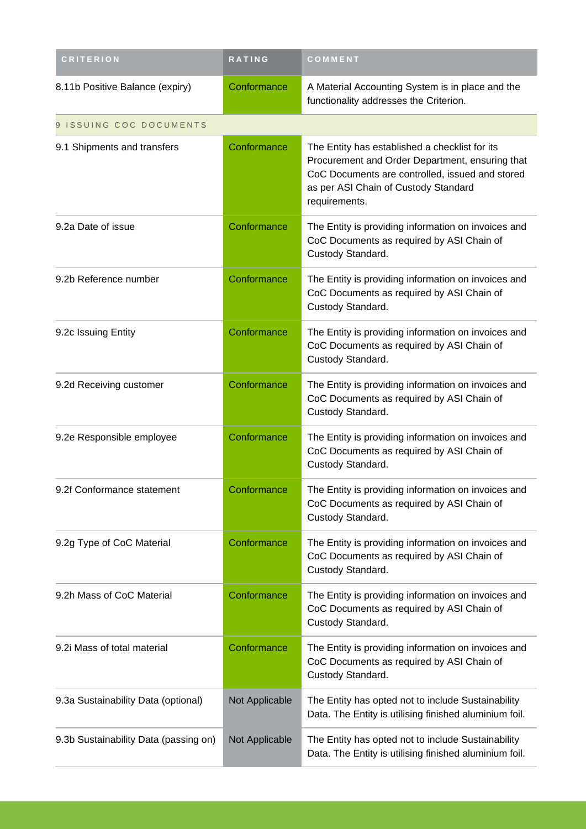| <b>CRITERION</b>                      | RATING         | COMMENT                                                                                                                                                                                                       |
|---------------------------------------|----------------|---------------------------------------------------------------------------------------------------------------------------------------------------------------------------------------------------------------|
| 8.11b Positive Balance (expiry)       | Conformance    | A Material Accounting System is in place and the<br>functionality addresses the Criterion.                                                                                                                    |
| 9 ISSUING COC DOCUMENTS               |                |                                                                                                                                                                                                               |
| 9.1 Shipments and transfers           | Conformance    | The Entity has established a checklist for its<br>Procurement and Order Department, ensuring that<br>CoC Documents are controlled, issued and stored<br>as per ASI Chain of Custody Standard<br>requirements. |
| 9.2a Date of issue                    | Conformance    | The Entity is providing information on invoices and<br>CoC Documents as required by ASI Chain of<br>Custody Standard.                                                                                         |
| 9.2b Reference number                 | Conformance    | The Entity is providing information on invoices and<br>CoC Documents as required by ASI Chain of<br>Custody Standard.                                                                                         |
| 9.2c Issuing Entity                   | Conformance    | The Entity is providing information on invoices and<br>CoC Documents as required by ASI Chain of<br>Custody Standard.                                                                                         |
| 9.2d Receiving customer               | Conformance    | The Entity is providing information on invoices and<br>CoC Documents as required by ASI Chain of<br>Custody Standard.                                                                                         |
| 9.2e Responsible employee             | Conformance    | The Entity is providing information on invoices and<br>CoC Documents as required by ASI Chain of<br>Custody Standard.                                                                                         |
| 9.2f Conformance statement            | Conformance    | The Entity is providing information on invoices and<br>CoC Documents as required by ASI Chain of<br>Custody Standard.                                                                                         |
| 9.2g Type of CoC Material             | Conformance    | The Entity is providing information on invoices and<br>CoC Documents as required by ASI Chain of<br>Custody Standard.                                                                                         |
| 9.2h Mass of CoC Material             | Conformance    | The Entity is providing information on invoices and<br>CoC Documents as required by ASI Chain of<br>Custody Standard.                                                                                         |
| 9.2i Mass of total material           | Conformance    | The Entity is providing information on invoices and<br>CoC Documents as required by ASI Chain of<br>Custody Standard.                                                                                         |
| 9.3a Sustainability Data (optional)   | Not Applicable | The Entity has opted not to include Sustainability<br>Data. The Entity is utilising finished aluminium foil.                                                                                                  |
| 9.3b Sustainability Data (passing on) | Not Applicable | The Entity has opted not to include Sustainability<br>Data. The Entity is utilising finished aluminium foil.                                                                                                  |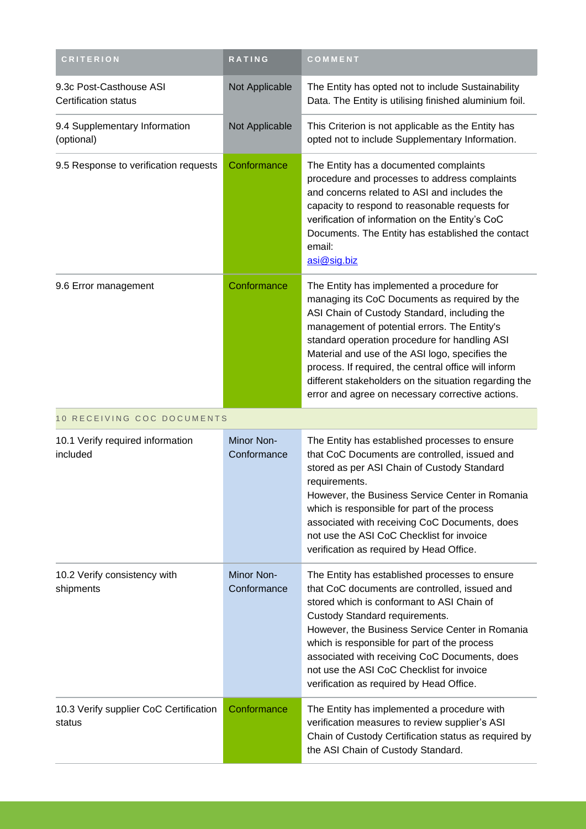| <b>CRITERION</b>                                       | <b>RATING</b>             | COMMENT                                                                                                                                                                                                                                                                                                                                                                                                                                                              |
|--------------------------------------------------------|---------------------------|----------------------------------------------------------------------------------------------------------------------------------------------------------------------------------------------------------------------------------------------------------------------------------------------------------------------------------------------------------------------------------------------------------------------------------------------------------------------|
| 9.3c Post-Casthouse ASI<br><b>Certification status</b> | Not Applicable            | The Entity has opted not to include Sustainability<br>Data. The Entity is utilising finished aluminium foil.                                                                                                                                                                                                                                                                                                                                                         |
| 9.4 Supplementary Information<br>(optional)            | Not Applicable            | This Criterion is not applicable as the Entity has<br>opted not to include Supplementary Information.                                                                                                                                                                                                                                                                                                                                                                |
| 9.5 Response to verification requests                  | Conformance               | The Entity has a documented complaints<br>procedure and processes to address complaints<br>and concerns related to ASI and includes the<br>capacity to respond to reasonable requests for<br>verification of information on the Entity's CoC<br>Documents. The Entity has established the contact<br>email:<br>asi@sig.biz                                                                                                                                           |
| 9.6 Error management                                   | Conformance               | The Entity has implemented a procedure for<br>managing its CoC Documents as required by the<br>ASI Chain of Custody Standard, including the<br>management of potential errors. The Entity's<br>standard operation procedure for handling ASI<br>Material and use of the ASI logo, specifies the<br>process. If required, the central office will inform<br>different stakeholders on the situation regarding the<br>error and agree on necessary corrective actions. |
| 10 RECEIVING COC DOCUMENTS                             |                           |                                                                                                                                                                                                                                                                                                                                                                                                                                                                      |
| 10.1 Verify required information<br>included           | Minor Non-<br>Conformance | The Entity has established processes to ensure<br>that CoC Documents are controlled, issued and<br>stored as per ASI Chain of Custody Standard<br>requirements.                                                                                                                                                                                                                                                                                                      |
|                                                        |                           | However, the Business Service Center in Romania<br>which is responsible for part of the process<br>associated with receiving CoC Documents, does<br>not use the ASI CoC Checklist for invoice<br>verification as required by Head Office.                                                                                                                                                                                                                            |
| 10.2 Verify consistency with<br>shipments              | Minor Non-<br>Conformance | The Entity has established processes to ensure<br>that CoC documents are controlled, issued and<br>stored which is conformant to ASI Chain of<br>Custody Standard requirements.<br>However, the Business Service Center in Romania<br>which is responsible for part of the process<br>associated with receiving CoC Documents, does<br>not use the ASI CoC Checklist for invoice<br>verification as required by Head Office.                                         |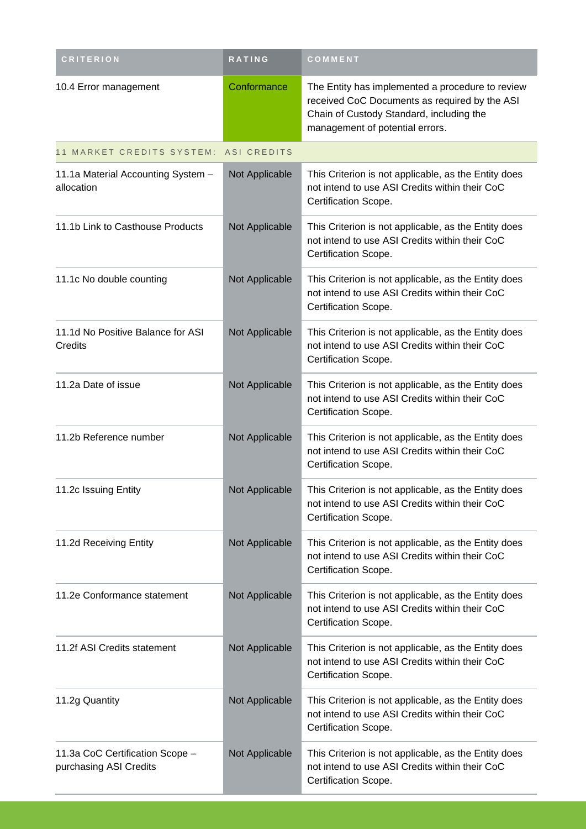| <b>CRITERION</b>                                          | RATING             | COMMENT                                                                                                                                                                          |
|-----------------------------------------------------------|--------------------|----------------------------------------------------------------------------------------------------------------------------------------------------------------------------------|
| 10.4 Error management                                     | Conformance        | The Entity has implemented a procedure to review<br>received CoC Documents as required by the ASI<br>Chain of Custody Standard, including the<br>management of potential errors. |
| 11 MARKET CREDITS SYSTEM:                                 | <b>ASI CREDITS</b> |                                                                                                                                                                                  |
| 11.1a Material Accounting System -<br>allocation          | Not Applicable     | This Criterion is not applicable, as the Entity does<br>not intend to use ASI Credits within their CoC<br>Certification Scope.                                                   |
| 11.1b Link to Casthouse Products                          | Not Applicable     | This Criterion is not applicable, as the Entity does<br>not intend to use ASI Credits within their CoC<br>Certification Scope.                                                   |
| 11.1c No double counting                                  | Not Applicable     | This Criterion is not applicable, as the Entity does<br>not intend to use ASI Credits within their CoC<br>Certification Scope.                                                   |
| 11.1d No Positive Balance for ASI<br>Credits              | Not Applicable     | This Criterion is not applicable, as the Entity does<br>not intend to use ASI Credits within their CoC<br>Certification Scope.                                                   |
| 11.2a Date of issue                                       | Not Applicable     | This Criterion is not applicable, as the Entity does<br>not intend to use ASI Credits within their CoC<br>Certification Scope.                                                   |
| 11.2b Reference number                                    | Not Applicable     | This Criterion is not applicable, as the Entity does<br>not intend to use ASI Credits within their CoC<br>Certification Scope.                                                   |
| 11.2c Issuing Entity                                      | Not Applicable     | This Criterion is not applicable, as the Entity does<br>not intend to use ASI Credits within their CoC<br>Certification Scope.                                                   |
| 11.2d Receiving Entity                                    | Not Applicable     | This Criterion is not applicable, as the Entity does<br>not intend to use ASI Credits within their CoC<br>Certification Scope.                                                   |
| 11.2e Conformance statement                               | Not Applicable     | This Criterion is not applicable, as the Entity does<br>not intend to use ASI Credits within their CoC<br>Certification Scope.                                                   |
| 11.2f ASI Credits statement                               | Not Applicable     | This Criterion is not applicable, as the Entity does<br>not intend to use ASI Credits within their CoC<br>Certification Scope.                                                   |
| 11.2g Quantity                                            | Not Applicable     | This Criterion is not applicable, as the Entity does<br>not intend to use ASI Credits within their CoC<br>Certification Scope.                                                   |
| 11.3a CoC Certification Scope -<br>purchasing ASI Credits | Not Applicable     | This Criterion is not applicable, as the Entity does<br>not intend to use ASI Credits within their CoC<br>Certification Scope.                                                   |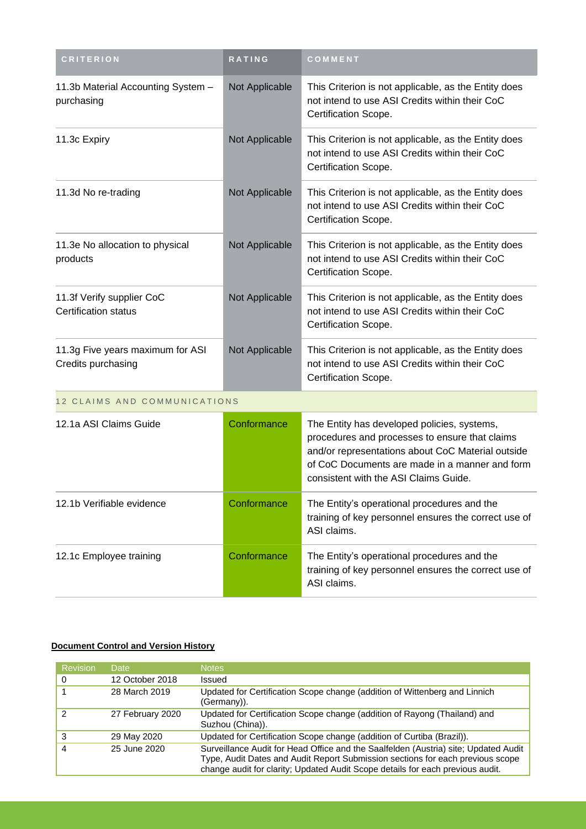| <b>CRITERION</b>                                         | RATING         | COMMENT                                                                                                                                                                                                                                       |
|----------------------------------------------------------|----------------|-----------------------------------------------------------------------------------------------------------------------------------------------------------------------------------------------------------------------------------------------|
| 11.3b Material Accounting System -<br>purchasing         | Not Applicable | This Criterion is not applicable, as the Entity does<br>not intend to use ASI Credits within their CoC<br>Certification Scope.                                                                                                                |
| 11.3c Expiry                                             | Not Applicable | This Criterion is not applicable, as the Entity does<br>not intend to use ASI Credits within their CoC<br>Certification Scope.                                                                                                                |
| 11.3d No re-trading                                      | Not Applicable | This Criterion is not applicable, as the Entity does<br>not intend to use ASI Credits within their CoC<br>Certification Scope.                                                                                                                |
| 11.3e No allocation to physical<br>products              | Not Applicable | This Criterion is not applicable, as the Entity does<br>not intend to use ASI Credits within their CoC<br>Certification Scope.                                                                                                                |
| 11.3f Verify supplier CoC<br><b>Certification status</b> | Not Applicable | This Criterion is not applicable, as the Entity does<br>not intend to use ASI Credits within their CoC<br>Certification Scope.                                                                                                                |
| 11.3g Five years maximum for ASI<br>Credits purchasing   | Not Applicable | This Criterion is not applicable, as the Entity does<br>not intend to use ASI Credits within their CoC<br>Certification Scope.                                                                                                                |
| 12 CLAIMS AND COMMUNICATIONS                             |                |                                                                                                                                                                                                                                               |
| 12.1a ASI Claims Guide                                   | Conformance    | The Entity has developed policies, systems,<br>procedures and processes to ensure that claims<br>and/or representations about CoC Material outside<br>of CoC Documents are made in a manner and form<br>consistent with the ASI Claims Guide. |
| 12.1b Verifiable evidence                                | Conformance    | The Entity's operational procedures and the<br>training of key personnel ensures the correct use of<br>ASI claims.                                                                                                                            |
| 12.1c Employee training                                  | Conformance    | The Entity's operational procedures and the<br>training of key personnel ensures the correct use of<br>ASI claims.                                                                                                                            |

#### **Document Control and Version History**

| <b>Revision</b> | Date             | <b>Notes</b>                                                                                                                                                                                                                                            |
|-----------------|------------------|---------------------------------------------------------------------------------------------------------------------------------------------------------------------------------------------------------------------------------------------------------|
|                 | 12 October 2018  | Issued                                                                                                                                                                                                                                                  |
|                 | 28 March 2019    | Updated for Certification Scope change (addition of Wittenberg and Linnich<br>(Germany)).                                                                                                                                                               |
| 2               | 27 February 2020 | Updated for Certification Scope change (addition of Rayong (Thailand) and<br>Suzhou (China)).                                                                                                                                                           |
| 3               | 29 May 2020      | Updated for Certification Scope change (addition of Curtiba (Brazil)).                                                                                                                                                                                  |
| 4               | 25 June 2020     | Surveillance Audit for Head Office and the Saalfelden (Austria) site; Updated Audit<br>Type, Audit Dates and Audit Report Submission sections for each previous scope<br>change audit for clarity; Updated Audit Scope details for each previous audit. |